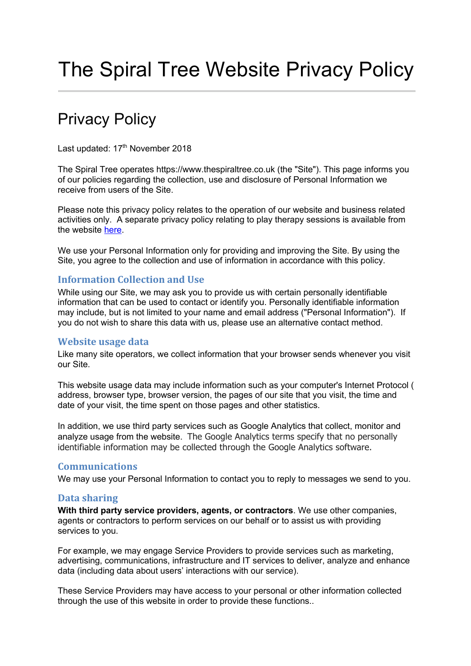# The Spiral Tree Website Privacy Policy

# Privacy Policy

Last updated: 17<sup>th</sup> November 2018

The Spiral Tree operates https://www.thespiraltree.co.uk (the "Site"). This page informs you of our policies regarding the collection, use and disclosure of Personal Information we receive from users of the Site.

Please note this privacy policy relates to the operation of our website and business related activities only. A separate privacy policy relating to play therapy sessions is available from the website here.

We use your Personal Information only for providing and improving the Site. By using the Site, you agree to the collection and use of information in accordance with this policy.

# **Information Collection and Use**

While using our Site, we may ask you to provide us with certain personally identifiable information that can be used to contact or identify you. Personally identifiable information may include, but is not limited to your name and email address ("Personal Information"). If you do not wish to share this data with us, please use an alternative contact method.

#### **Website usage data**

Like many site operators, we collect information that your browser sends whenever you visit our Site.

This website usage data may include information such as your computer's Internet Protocol ( address, browser type, browser version, the pages of our site that you visit, the time and date of your visit, the time spent on those pages and other statistics.

In addition, we use third party services such as Google Analytics that collect, monitor and analyze usage from the website. The Google Analytics terms specify that no personally identifiable information may be collected through the Google Analytics software.

# **Communications**

We may use your Personal Information to contact you to reply to messages we send to you.

#### **Data sharing**

**With third party service providers, agents, or contractors**. We use other companies, agents or contractors to perform services on our behalf or to assist us with providing services to you.

For example, we may engage Service Providers to provide services such as marketing, advertising, communications, infrastructure and IT services to deliver, analyze and enhance data (including data about users' interactions with our service).

These Service Providers may have access to your personal or other information collected through the use of this website in order to provide these functions..